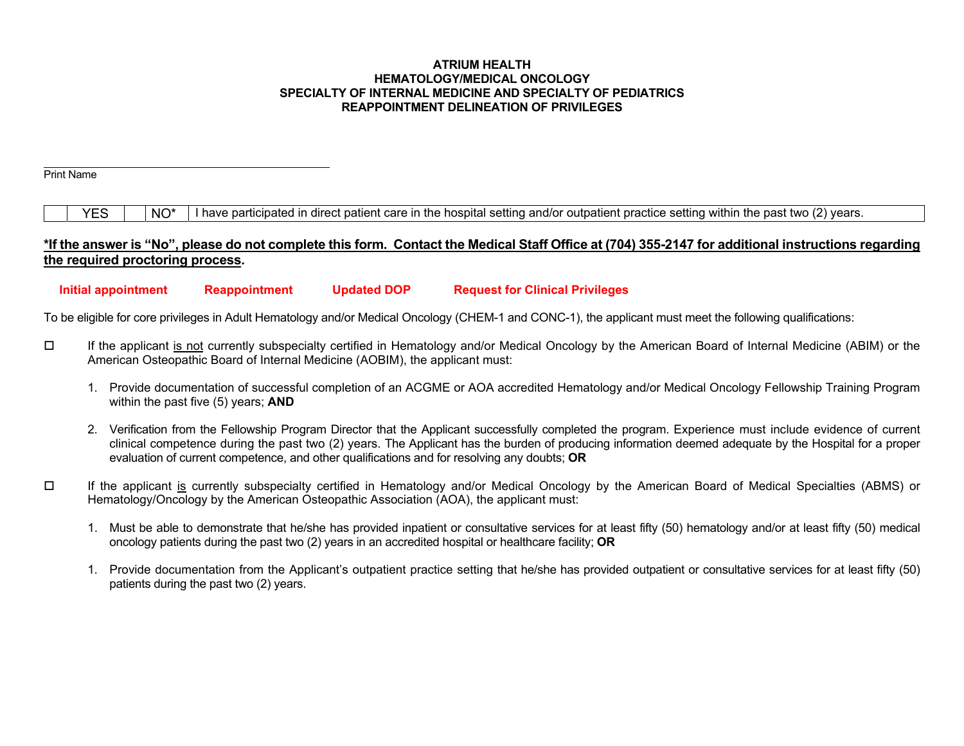#### **ATRIUM HEALTH HEMATOLOGY/MEDICAL ONCOLOGY SPECIALTY OF INTERNAL MEDICINE AND SPECIALTY OF PEDIATRICS REAPPOINTMENT DELINEATION OF PRIVILEGES**

Print Name

 $YES$   $\parallel$  NO<sup>\*</sup> I have participated in direct patient care in the hospital setting and/or outpatient practice setting within the past two (2) years.

# **\*If the answer is "No", please do not complete this form. Contact the Medical Staff Office at (704) 355-2147 for additional instructions regarding the required proctoring process.**

 **Initial appointment Reappointment Updated DOP Request for Clinical Privileges** 

To be eligible for core privileges in Adult Hematology and/or Medical Oncology (CHEM-1 and CONC-1), the applicant must meet the following qualifications:

- $\Box$  If the applicant is not currently subspecialty certified in Hematology and/or Medical Oncology by the American Board of Internal Medicine (ABIM) or the American Osteopathic Board of Internal Medicine (AOBIM), the applicant must:
	- 1. Provide documentation of successful completion of an ACGME or AOA accredited Hematology and/or Medical Oncology Fellowship Training Program within the past five (5) years; **AND**
	- 2. Verification from the Fellowship Program Director that the Applicant successfully completed the program. Experience must include evidence of current clinical competence during the past two (2) years. The Applicant has the burden of producing information deemed adequate by the Hospital for a proper evaluation of current competence, and other qualifications and for resolving any doubts; **OR**
- $\Box$  If the applicant is currently subspecialty certified in Hematology and/or Medical Oncology by the American Board of Medical Specialties (ABMS) or Hematology/Oncology by the American Osteopathic Association (AOA), the applicant must:
	- 1. Must be able to demonstrate that he/she has provided inpatient or consultative services for at least fifty (50) hematology and/or at least fifty (50) medical oncology patients during the past two (2) years in an accredited hospital or healthcare facility; **OR**
	- 1. Provide documentation from the Applicant's outpatient practice setting that he/she has provided outpatient or consultative services for at least fifty (50) patients during the past two (2) years.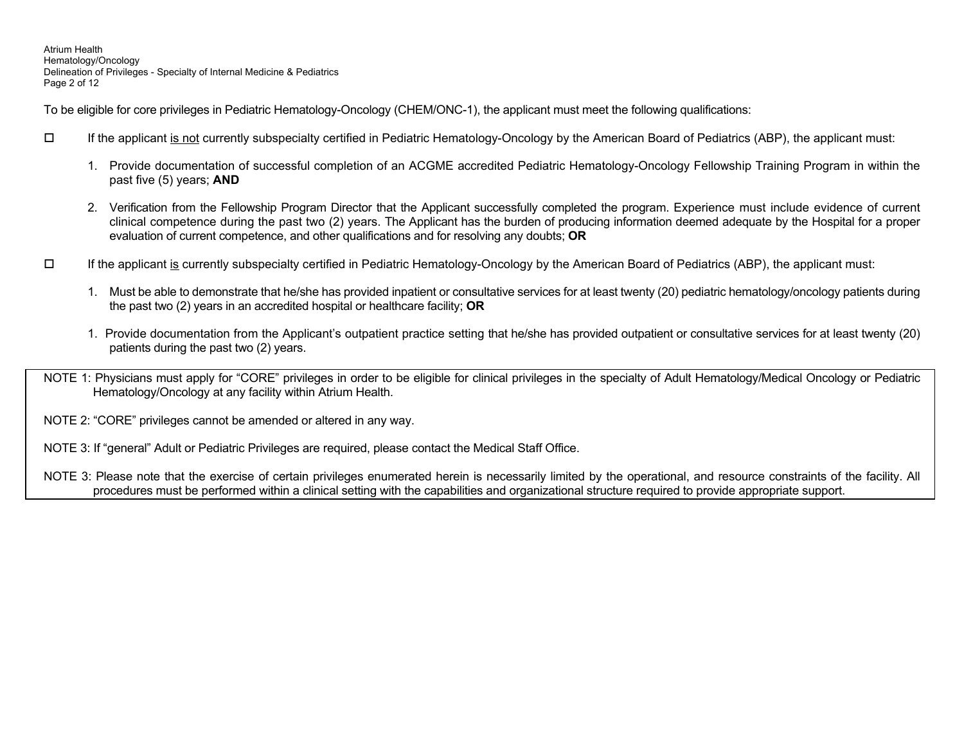Atrium Health Hematology/Oncology Delineation of Privileges - Specialty of Internal Medicine & Pediatrics Page 2 of 12

To be eligible for core privileges in Pediatric Hematology-Oncology (CHEM/ONC-1), the applicant must meet the following qualifications:

- $\Box$  If the applicant is not currently subspecialty certified in Pediatric Hematology-Oncology by the American Board of Pediatrics (ABP), the applicant must:
	- 1. Provide documentation of successful completion of an ACGME accredited Pediatric Hematology-Oncology Fellowship Training Program in within the past five (5) years; **AND**
	- 2. Verification from the Fellowship Program Director that the Applicant successfully completed the program. Experience must include evidence of current clinical competence during the past two (2) years. The Applicant has the burden of producing information deemed adequate by the Hospital for a proper evaluation of current competence, and other qualifications and for resolving any doubts; **OR**
- $\Box$  If the applicant is currently subspecialty certified in Pediatric Hematology-Oncology by the American Board of Pediatrics (ABP), the applicant must:
	- 1. Must be able to demonstrate that he/she has provided inpatient or consultative services for at least twenty (20) pediatric hematology/oncology patients during the past two (2) years in an accredited hospital or healthcare facility; **OR**
	- 1. Provide documentation from the Applicant's outpatient practice setting that he/she has provided outpatient or consultative services for at least twenty (20) patients during the past two (2) years.
- NOTE 1: Physicians must apply for "CORE" privileges in order to be eligible for clinical privileges in the specialty of Adult Hematology/Medical Oncology or Pediatric Hematology/Oncology at any facility within Atrium Health.
- NOTE 2: "CORE" privileges cannot be amended or altered in any way.
- NOTE 3: If "general" Adult or Pediatric Privileges are required, please contact the Medical Staff Office.

NOTE 3: Please note that the exercise of certain privileges enumerated herein is necessarily limited by the operational, and resource constraints of the facility. All procedures must be performed within a clinical setting with the capabilities and organizational structure required to provide appropriate support.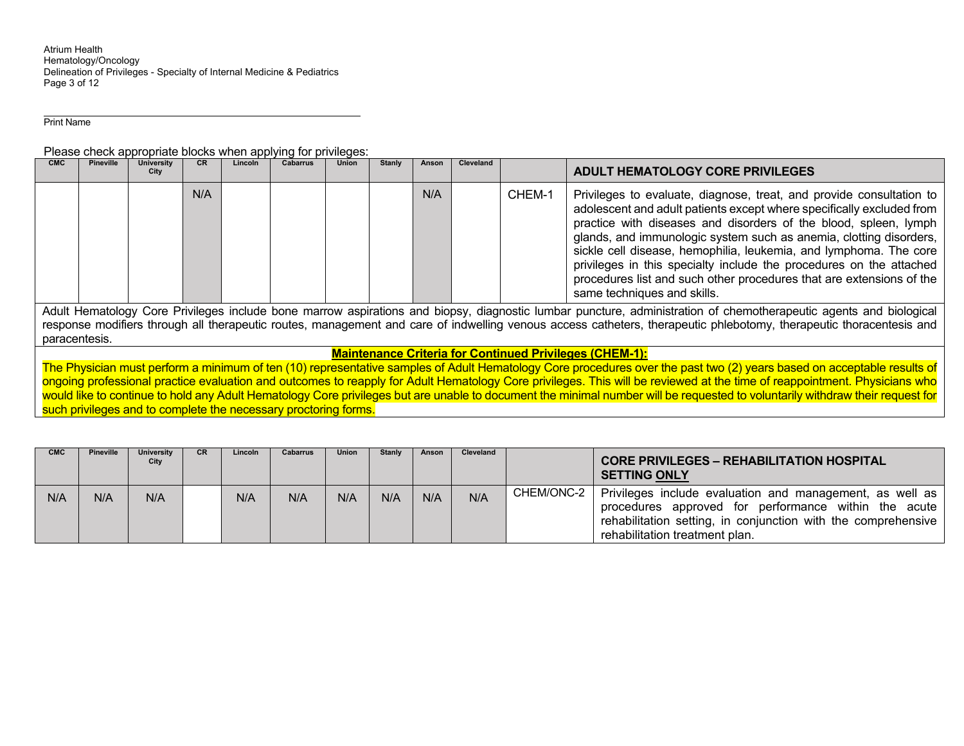Atrium Health Hematology/Oncology Delineation of Privileges - Specialty of Internal Medicine & Pediatrics Page 3 of 12

Print Name

Please check appropriate blocks when applying for privileges:

| N/A<br>N/A<br>Privileges to evaluate, diagnose, treat, and provide consultation to<br>CHEM-1                                                                                                                                                                                                                                                                                                                                                                                                                                                                                                                                                                       |  | City | Lincoln | CR. | University | <b>Pineville</b> | <b>CMC</b> |
|--------------------------------------------------------------------------------------------------------------------------------------------------------------------------------------------------------------------------------------------------------------------------------------------------------------------------------------------------------------------------------------------------------------------------------------------------------------------------------------------------------------------------------------------------------------------------------------------------------------------------------------------------------------------|--|------|---------|-----|------------|------------------|------------|
| adolescent and adult patients except where specifically excluded from<br>practice with diseases and disorders of the blood, spleen, lymph<br>glands, and immunologic system such as anemia, clotting disorders,<br>sickle cell disease, hemophilia, leukemia, and lymphoma. The core<br>privileges in this specialty include the procedures on the attached<br>procedures list and such other procedures that are extensions of the<br>same techniques and skills.<br>.<br>.<br>.<br>- -<br>$\cdot$ $\cdot$<br>the contract of the contract of the contract of the contract of the contract of the contract of the contract of<br>.<br>$\cdots$ $\cdots$<br>$\sim$ |  |      |         |     |            |                  |            |

Adult Hematology Core Privileges include bone marrow aspirations and biopsy, diagnostic lumbar puncture, administration of chemotherapeutic agents and biological response modifiers through all therapeutic routes, management and care of indwelling venous access catheters, therapeutic phlebotomy, therapeutic thoracentesis and paracentesis.

## **Maintenance Criteria for Continued Privileges (CHEM-1):**

The Physician must perform a minimum of ten (10) representative samples of Adult Hematology Core procedures over the past two (2) years based on acceptable results of ongoing professional practice evaluation and outcomes to reapply for Adult Hematology Core privileges. This will be reviewed at the time of reappointment. Physicians who would like to continue to hold any Adult Hematology Core privileges but are unable to document the minimal number will be requested to voluntarily withdraw their request for such privileges and to complete the necessary proctoring forms.

| <b>CMC</b> | <b>Pineville</b> | University<br>City | CR. | Lincoln | <b>Cabarrus</b> | <b>Union</b> | <b>Stanly</b> | Anson | Cleveland |            | <b>CORE PRIVILEGES - REHABILITATION HOSPITAL</b><br><b>SETTING ONLY</b>                                                                                                                                             |
|------------|------------------|--------------------|-----|---------|-----------------|--------------|---------------|-------|-----------|------------|---------------------------------------------------------------------------------------------------------------------------------------------------------------------------------------------------------------------|
| N/A        | N/A              | N/A                |     | N/A     | N/A             | N/A          | N/A           | N/A   | N/A       | CHEM/ONC-2 | Privileges include evaluation and management, as well as<br>procedures approved for performance within the acute<br>rehabilitation setting, in conjunction with the comprehensive<br>rehabilitation treatment plan. |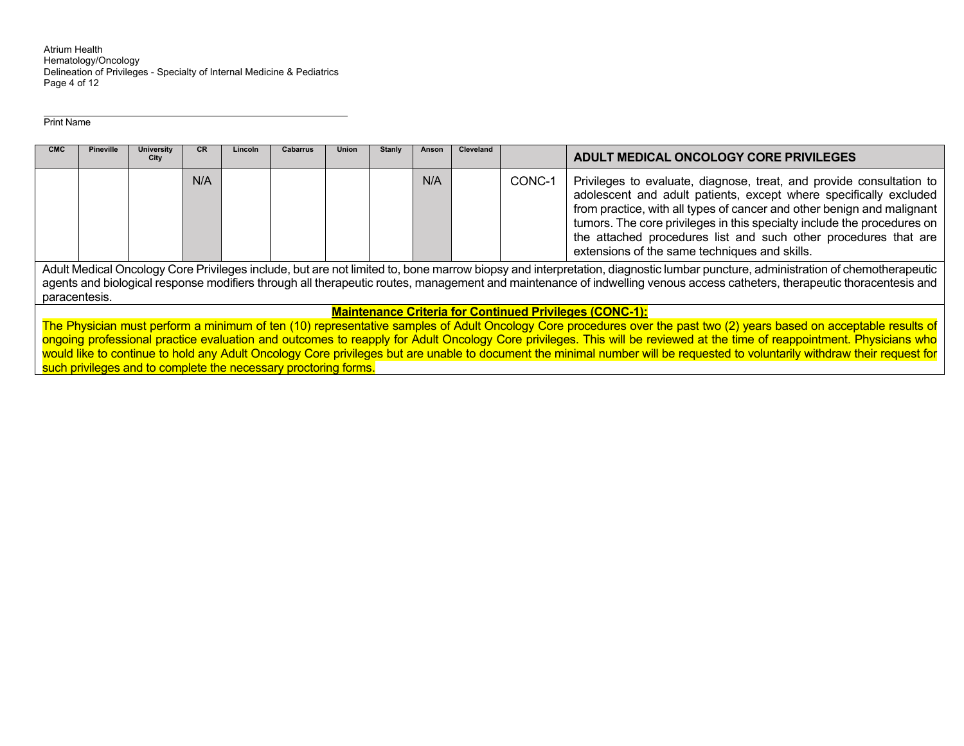Atrium Health<br>Hematology/Oncology Delineation of Privileges - Specialty of Internal Medicine & Pediatrics Page 4 of 12

Print Name

| <b>CMC</b> | <b>Pineville</b>                                                                                                                                                                                                                                                                                                                                                           | <b>University</b><br>City | <b>CR</b> | Lincoln | <b>Cabarrus</b> | <b>Union</b> | <b>Stanly</b> | Anson | Cleveland |        | ADULT MEDICAL ONCOLOGY CORE PRIVILEGES                                                                                                                                                                                                                                                                                                                                                                                                                                                                                         |
|------------|----------------------------------------------------------------------------------------------------------------------------------------------------------------------------------------------------------------------------------------------------------------------------------------------------------------------------------------------------------------------------|---------------------------|-----------|---------|-----------------|--------------|---------------|-------|-----------|--------|--------------------------------------------------------------------------------------------------------------------------------------------------------------------------------------------------------------------------------------------------------------------------------------------------------------------------------------------------------------------------------------------------------------------------------------------------------------------------------------------------------------------------------|
|            |                                                                                                                                                                                                                                                                                                                                                                            |                           | N/A       |         |                 |              |               | N/A   |           | CONC-1 | Privileges to evaluate, diagnose, treat, and provide consultation to<br>adolescent and adult patients, except where specifically excluded<br>from practice, with all types of cancer and other benign and malignant<br>tumors. The core privileges in this specialty include the procedures on<br>the attached procedures list and such other procedures that are<br>extensions of the same techniques and skills.                                                                                                             |
|            | Adult Medical Oncology Core Privileges include, but are not limited to, bone marrow biopsy and interpretation, diagnostic lumbar puncture, administration of chemotherapeutic<br>agents and biological response modifiers through all therapeutic routes, management and maintenance of indwelling venous access catheters, therapeutic thoracentesis and<br>paracentesis. |                           |           |         |                 |              |               |       |           |        |                                                                                                                                                                                                                                                                                                                                                                                                                                                                                                                                |
|            | <b>Maintenance Criteria for Continued Privileges (CONC-1):</b>                                                                                                                                                                                                                                                                                                             |                           |           |         |                 |              |               |       |           |        |                                                                                                                                                                                                                                                                                                                                                                                                                                                                                                                                |
|            |                                                                                                                                                                                                                                                                                                                                                                            |                           |           |         |                 |              |               |       |           |        | The Physician must perform a minimum of ten (10) representative samples of Adult Oncology Core procedures over the past two (2) years based on acceptable results of<br>ongoing professional practice evaluation and outcomes to reapply for Adult Oncology Core privileges. This will be reviewed at the time of reappointment. Physicians who<br>would like to continue to hold any Adult Oncology Core privileges but are unable to document the minimal number will be requested to voluntarily withdraw their request for |

such privileges and to complete the necessary proctoring forms.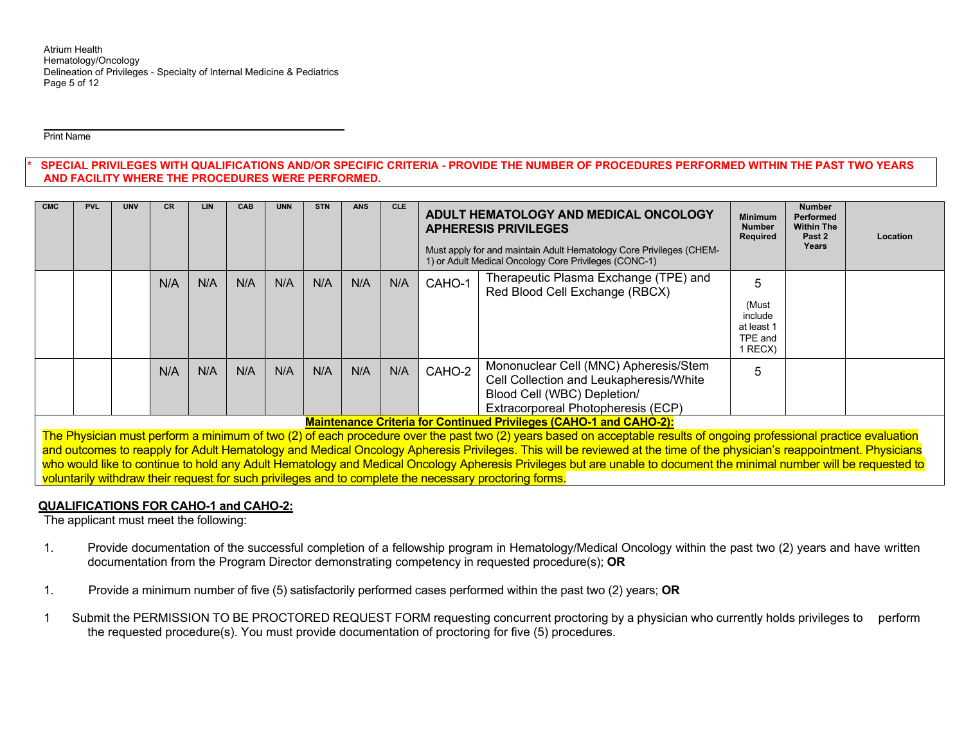#### Print Name

SPECIAL PRIVILEGES WITH QUALIFICATIONS AND/OR SPECIFIC CRITERIA - PROVIDE THE NUMBER OF PROCEDURES PERFORMED WITHIN THE PAST TWO YEARS **AND FACILITY WHERE THE PROCEDURES WERE PERFORMED.** 

| <b>CMC</b> | <b>PVL</b> | <b>UNV</b> | <b>CR</b> | <b>LIN</b> | <b>CAB</b> | <b>UNN</b> | <b>STN</b> | <b>ANS</b> | CLE. |        | ADULT HEMATOLOGY AND MEDICAL ONCOLOGY<br><b>APHERESIS PRIVILEGES</b><br>Must apply for and maintain Adult Hematology Core Privileges (CHEM-<br>1) or Adult Medical Oncology Core Privileges (CONC-1)                         | <b>Minimum</b><br><b>Number</b><br><b>Required</b>        | <b>Number</b><br><b>Performed</b><br><b>Within The</b><br>Past 2<br>Years | Location |
|------------|------------|------------|-----------|------------|------------|------------|------------|------------|------|--------|------------------------------------------------------------------------------------------------------------------------------------------------------------------------------------------------------------------------------|-----------------------------------------------------------|---------------------------------------------------------------------------|----------|
|            |            |            | N/A       | N/A        | N/A        | N/A        | N/A        | N/A        | N/A  | CAHO-1 | Therapeutic Plasma Exchange (TPE) and<br>Red Blood Cell Exchange (RBCX)                                                                                                                                                      | 5<br>(Must<br>include<br>at least 1<br>TPE and<br>1 RECX) |                                                                           |          |
|            |            |            | N/A       | N/A        | N/A        | N/A        | N/A        | N/A        | N/A  | CAHO-2 | Mononuclear Cell (MNC) Apheresis/Stem<br>Cell Collection and Leukapheresis/White<br>Blood Cell (WBC) Depletion/<br>Extracorporeal Photopheresis (ECP)<br>Maintenance Ouiteuis fan Oantinus d'Duirileasa (OAHO 4 and OAHO 0). | 5                                                         |                                                                           |          |

**Maintenance Criteria for Continued Privileges (CAHO-1 and CAHO-2):** 

The Physician must perform a minimum of two (2) of each procedure over the past two (2) years based on acceptable results of ongoing professional practice evaluation and outcomes to reapply for Adult Hematology and Medical Oncology Apheresis Privileges. This will be reviewed at the time of the physician's reappointment. Physicians who would like to continue to hold any Adult Hematology and Medical Oncology Apheresis Privileges but are unable to document the minimal number will be requested to voluntarily withdraw their request for such privileges and to complete the necessary proctoring forms.

## **QUALIFICATIONS FOR CAHO-1 and CAHO-2:**

The applicant must meet the following:

- 1. Provide documentation of the successful completion of a fellowship program in Hematology/Medical Oncology within the past two (2) years and have written documentation from the Program Director demonstrating competency in requested procedure(s); **OR**
- 1. Provide a minimum number of five (5) satisfactorily performed cases performed within the past two (2) years; **OR**
- 1 Submit the PERMISSION TO BE PROCTORED REQUEST FORM requesting concurrent proctoring by a physician who currently holds privileges to perform the requested procedure(s). You must provide documentation of proctoring for five (5) procedures.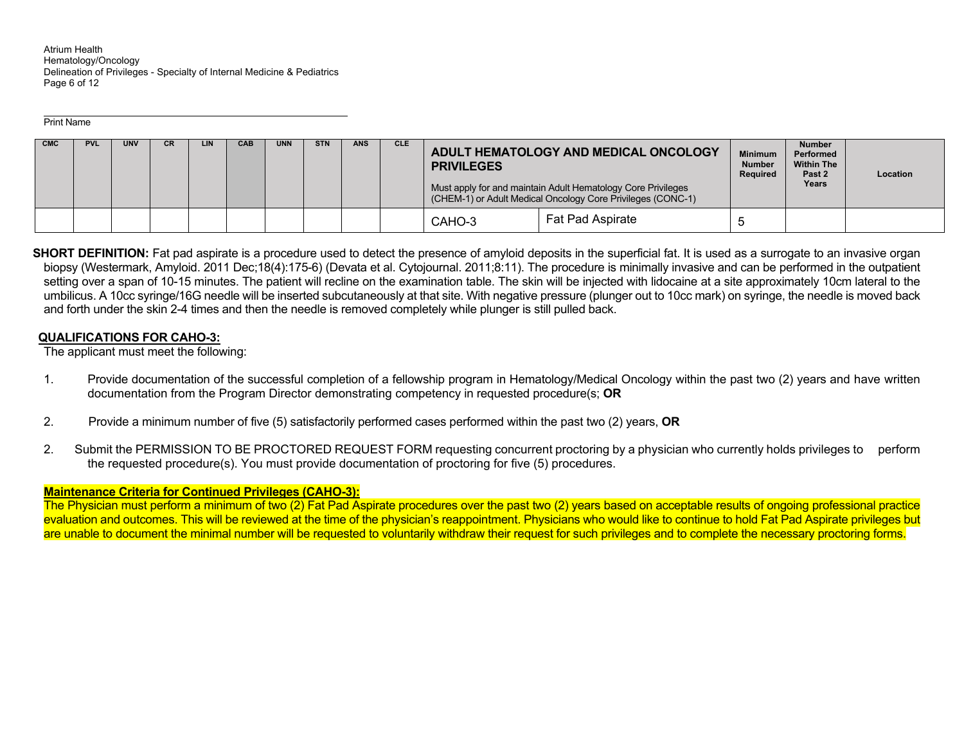Atrium Health Hematology/Oncology Delineation of Privileges - Specialty of Internal Medicine & Pediatrics Page 6 of 12

Print Name

| <b>CMC</b> | <b>PVL</b> | <b>UNV</b> | CR | LIN | <b>CAB</b> | <b>UNN</b> | <b>STN</b> | <b>ANS</b> | <b>CLE</b> | <b>PRIVILEGES</b> | ADULT HEMATOLOGY AND MEDICAL ONCOLOGY                                                                                       | <b>Minimum</b><br><b>Number</b><br>Required | <b>Number</b><br>Performed<br><b>Within The</b><br>Past 2 | Location |
|------------|------------|------------|----|-----|------------|------------|------------|------------|------------|-------------------|-----------------------------------------------------------------------------------------------------------------------------|---------------------------------------------|-----------------------------------------------------------|----------|
|            |            |            |    |     |            |            |            |            |            |                   | Must apply for and maintain Adult Hematology Core Privileges<br>(CHEM-1) or Adult Medical Oncology Core Privileges (CONC-1) |                                             | Years                                                     |          |
|            |            |            |    |     |            |            |            |            |            | CAHO-3            | <b>Fat Pad Aspirate</b>                                                                                                     | c                                           |                                                           |          |

**SHORT DEFINITION:** Fat pad aspirate is a procedure used to detect the presence of amyloid deposits in the superficial fat. It is used as a surrogate to an invasive organ biopsy (Westermark, Amyloid. 2011 Dec;18(4):175-6) (Devata et al. Cytojournal. 2011;8:11). The procedure is minimally invasive and can be performed in the outpatient setting over a span of 10-15 minutes. The patient will recline on the examination table. The skin will be injected with lidocaine at a site approximately 10cm lateral to the umbilicus. A 10cc syringe/16G needle will be inserted subcutaneously at that site. With negative pressure (plunger out to 10cc mark) on syringe, the needle is moved back and forth under the skin 2-4 times and then the needle is removed completely while plunger is still pulled back.

## **QUALIFICATIONS FOR CAHO-3:**

The applicant must meet the following:

- 1. Provide documentation of the successful completion of a fellowship program in Hematology/Medical Oncology within the past two (2) years and have written documentation from the Program Director demonstrating competency in requested procedure(s; **OR**
- 2. Provide a minimum number of five (5) satisfactorily performed cases performed within the past two (2) years, **OR**
- 2. Submit the PERMISSION TO BE PROCTORED REQUEST FORM requesting concurrent proctoring by a physician who currently holds privileges to perform the requested procedure(s). You must provide documentation of proctoring for five (5) procedures.

## **Maintenance Criteria for Continued Privileges (CAHO-3):**

The Physician must perform a minimum of two (2) Fat Pad Aspirate procedures over the past two (2) years based on acceptable results of ongoing professional practice evaluation and outcomes. This will be reviewed at the time of the physician's reappointment. Physicians who would like to continue to hold Fat Pad Aspirate privileges but are unable to document the minimal number will be requested to voluntarily withdraw their request for such privileges and to complete the necessary proctoring forms.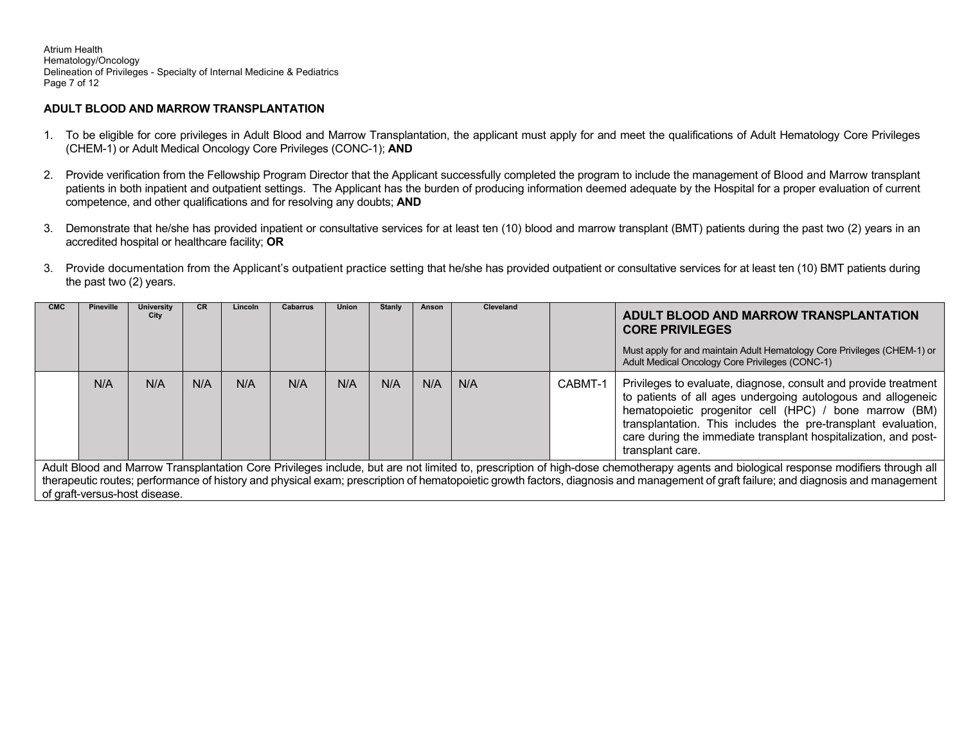Atrium Health Hematology/Oncology Delineation of Privileges - Specialty of Internal Medicine & Pediatrics Page 7 of 12

### **ADULT BLOOD AND MARROW TRANSPLANTATION**

- 1. To be eligible for core privileges in Adult Blood and Marrow Transplantation, the applicant must apply for and meet the qualifications of Adult Hematology Core Privileges (CHEM-1) or Adult Medical Oncology Core Privileges (CONC-1); **AND**
- 2. Provide verification from the Fellowship Program Director that the Applicant successfully completed the program to include the management of Blood and Marrow transplant patients in both inpatient and outpatient settings. The Applicant has the burden of producing information deemed adequate by the Hospital for a proper evaluation of current competence, and other qualifications and for resolving any doubts; **AND**
- 3. Demonstrate that he/she has provided inpatient or consultative services for at least ten (10) blood and marrow transplant (BMT) patients during the past two (2) years in an accredited hospital or healthcare facility; **OR**
- 3. Provide documentation from the Applicant's outpatient practice setting that he/she has provided outpatient or consultative services for at least ten (10) BMT patients during the past two (2) years.

| <b>CMC</b> | Pineville                                                                                                                                                                                                                                                                                                                                                       | University<br>City | <b>CR</b> | Lincoln | <b>Cabarrus</b> | <b>Union</b> | <b>Stanly</b> | Anson | <b>Cleveland</b> |         | ADULT BLOOD AND MARROW TRANSPLANTATION<br><b>CORE PRIVILEGES</b><br>Must apply for and maintain Adult Hematology Core Privileges (CHEM-1) or<br>Adult Medical Oncology Core Privileges (CONC-1)                                                                                                                                                   |  |  |
|------------|-----------------------------------------------------------------------------------------------------------------------------------------------------------------------------------------------------------------------------------------------------------------------------------------------------------------------------------------------------------------|--------------------|-----------|---------|-----------------|--------------|---------------|-------|------------------|---------|---------------------------------------------------------------------------------------------------------------------------------------------------------------------------------------------------------------------------------------------------------------------------------------------------------------------------------------------------|--|--|
|            | N/A                                                                                                                                                                                                                                                                                                                                                             | N/A                | N/A       | N/A     | N/A             | N/A          | N/A           | N/A   | N/A              | CABMT-1 | Privileges to evaluate, diagnose, consult and provide treatment<br>to patients of all ages undergoing autologous and allogeneic<br>hematopoietic progenitor cell (HPC) / bone marrow (BM)<br>transplantation. This includes the pre-transplant evaluation,<br>care during the immediate transplant hospitalization, and post-<br>transplant care. |  |  |
|            | Adult Blood and Marrow Transplantation Core Privileges include, but are not limited to, prescription of high-dose chemotherapy agents and biological response modifiers through all<br>there are this content of history and physical even: prescription of hematopoidic growth factors, disences and management of grafi failure; and diagnosis and management |                    |           |         |                 |              |               |       |                  |         |                                                                                                                                                                                                                                                                                                                                                   |  |  |
|            |                                                                                                                                                                                                                                                                                                                                                                 |                    |           |         |                 |              |               |       |                  |         |                                                                                                                                                                                                                                                                                                                                                   |  |  |

therapeutic routes; performance of history and physical exam; prescription of hematopoietic growth factors, diagnosis and management of graft failure; and diagnosis and management of graft-versus-host disease.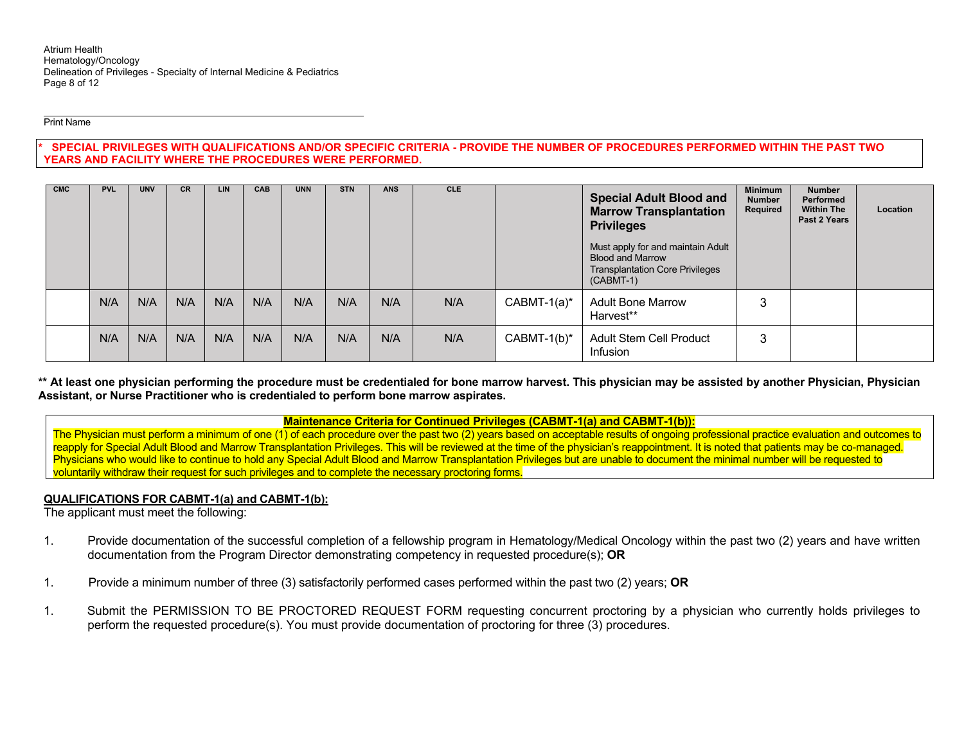Print Name

#### **\* SPECIAL PRIVILEGES WITH QUALIFICATIONS AND/OR SPECIFIC CRITERIA - PROVIDE THE NUMBER OF PROCEDURES PERFORMED WITHIN THE PAST TWO YEARS AND FACILITY WHERE THE PROCEDURES WERE PERFORMED.**

| <b>CMC</b> | <b>PVL</b> | <b>UNV</b> | <b>CR</b> | <b>LIN</b> | <b>CAB</b> | <b>UNN</b> | <b>STN</b> | <b>ANS</b> | CLE. |                | <b>Special Adult Blood and</b><br><b>Marrow Transplantation</b><br><b>Privileges</b>                                  | <b>Minimum</b><br><b>Number</b><br>Required | <b>Number</b><br>Performed<br><b>Within The</b><br>Past 2 Years | Location |
|------------|------------|------------|-----------|------------|------------|------------|------------|------------|------|----------------|-----------------------------------------------------------------------------------------------------------------------|---------------------------------------------|-----------------------------------------------------------------|----------|
|            |            |            |           |            |            |            |            |            |      |                | Must apply for and maintain Adult<br><b>Blood and Marrow</b><br><b>Transplantation Core Privileges</b><br>$(CABMT-1)$ |                                             |                                                                 |          |
|            | N/A        | N/A        | N/A       | N/A        | N/A        | N/A        | N/A        | N/A        | N/A  | $CABMT-1(a)^*$ | <b>Adult Bone Marrow</b><br>Harvest**                                                                                 | ć                                           |                                                                 |          |
|            | N/A        | N/A        | N/A       | N/A        | N/A        | N/A        | N/A        | N/A        | N/A  | $CABMT-1(b)^*$ | <b>Adult Stem Cell Product</b><br>Infusion                                                                            | 3                                           |                                                                 |          |

**\*\* At least one physician performing the procedure must be credentialed for bone marrow harvest. This physician may be assisted by another Physician, Physician Assistant, or Nurse Practitioner who is credentialed to perform bone marrow aspirates.** 

**Maintenance Criteria for Continued Privileges (CABMT-1(a) and CABMT-1(b)):** 

The Physician must perform a minimum of one (1) of each procedure over the past two (2) years based on acceptable results of ongoing professional practice evaluation and outcomes to reapply for Special Adult Blood and Marrow Transplantation Privileges. This will be reviewed at the time of the physician's reappointment. It is noted that patients may be co-managed. Physicians who would like to continue to hold any Special Adult Blood and Marrow Transplantation Privileges but are unable to document the minimal number will be requested to voluntarily withdraw their request for such privileges and to complete the necessary proctoring forms.

### **QUALIFICATIONS FOR CABMT-1(a) and CABMT-1(b):**

The applicant must meet the following:

- 1. Provide documentation of the successful completion of a fellowship program in Hematology/Medical Oncology within the past two (2) years and have written documentation from the Program Director demonstrating competency in requested procedure(s); **OR**
- 1. Provide a minimum number of three (3) satisfactorily performed cases performed within the past two (2) years; **OR**
- 1. Submit the PERMISSION TO BE PROCTORED REQUEST FORM requesting concurrent proctoring by a physician who currently holds privileges to perform the requested procedure(s). You must provide documentation of proctoring for three (3) procedures.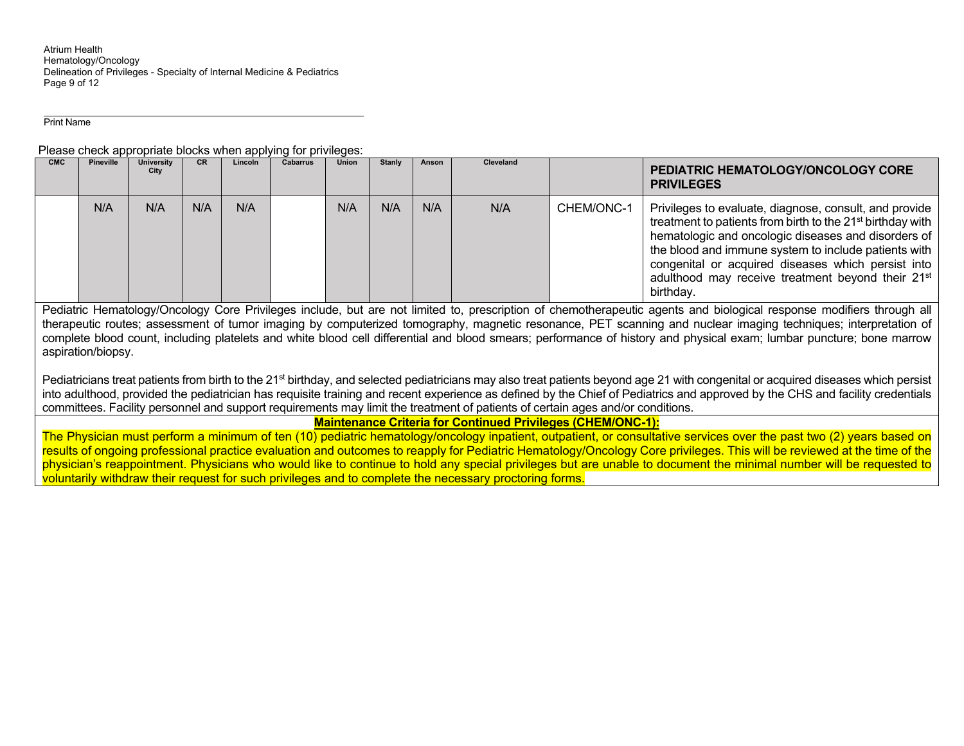Atrium Health Hematology/Oncology Delineation of Privileges - Specialty of Internal Medicine & Pediatrics Page 9 of 12

Print Name

Please check appropriate blocks when applying for privileges:

| <b>CMC</b> | <b>Pineville</b> | <b>University</b><br>City | <b>CR</b> | Lincoln | <b>Cabarrus</b> | <b>Union</b> | <b>Stanly</b> | Anson | <b>Cleveland</b> |            | PEDIATRIC HEMATOLOGY/ONCOLOGY CORE<br><b>PRIVILEGES</b>                                                                                                                                                                                                                                                                                                                             |
|------------|------------------|---------------------------|-----------|---------|-----------------|--------------|---------------|-------|------------------|------------|-------------------------------------------------------------------------------------------------------------------------------------------------------------------------------------------------------------------------------------------------------------------------------------------------------------------------------------------------------------------------------------|
|            | N/A              | N/A                       | N/A       | N/A     |                 | N/A          | N/A           | N/A   | N/A              | CHEM/ONC-1 | Privileges to evaluate, diagnose, consult, and provide<br>treatment to patients from birth to the 21 <sup>st</sup> birthday with<br>hematologic and oncologic diseases and disorders of<br>the blood and immune system to include patients with<br>congenital or acquired diseases which persist into<br>adulthood may receive treatment beyond their 21 <sup>st</sup><br>birthday. |

Pediatric Hematology/Oncology Core Privileges include, but are not limited to, prescription of chemotherapeutic agents and biological response modifiers through all therapeutic routes; assessment of tumor imaging by computerized tomography, magnetic resonance, PET scanning and nuclear imaging techniques; interpretation of complete blood count, including platelets and white blood cell differential and blood smears; performance of history and physical exam; lumbar puncture; bone marrow aspiration/biopsy.

Pediatricians treat patients from birth to the 21<sup>st</sup> birthday, and selected pediatricians may also treat patients beyond age 21 with congenital or acquired diseases which persist into adulthood, provided the pediatrician has requisite training and recent experience as defined by the Chief of Pediatrics and approved by the CHS and facility credentials committees. Facility personnel and support requirements may limit the treatment of patients of certain ages and/or conditions.

**Maintenance Criteria for Continued Privileges (CHEM/ONC-1):** 

The Physician must perform a minimum of ten (10) pediatric hematology/oncology inpatient, outpatient, or consultative services over the past two (2) years based on results of ongoing professional practice evaluation and outcomes to reapply for Pediatric Hematology/Oncology Core privileges. This will be reviewed at the time of the physician's reappointment. Physicians who would like to continue to hold any special privileges but are unable to document the minimal number will be requested to voluntarily withdraw their request for such privileges and to complete the necessary proctoring forms.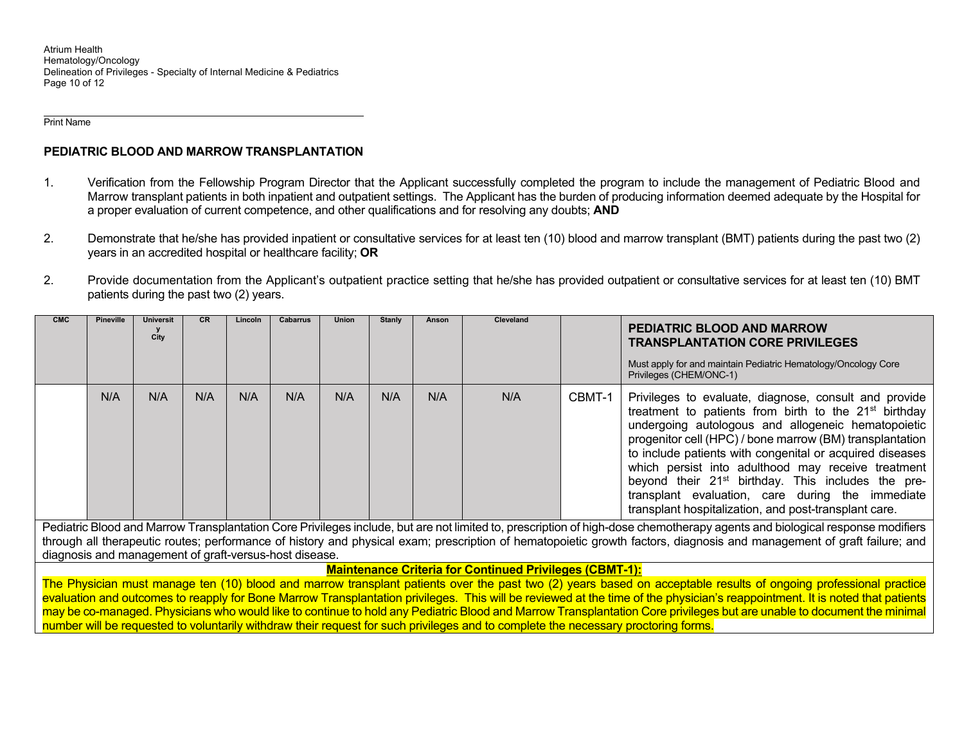Atrium Health Hematology/Oncology Delineation of Privileges - Specialty of Internal Medicine & Pediatrics Page 10 of 12

Print Name

## **PEDIATRIC BLOOD AND MARROW TRANSPLANTATION**

- 1. Verification from the Fellowship Program Director that the Applicant successfully completed the program to include the management of Pediatric Blood and Marrow transplant patients in both inpatient and outpatient settings. The Applicant has the burden of producing information deemed adequate by the Hospital for a proper evaluation of current competence, and other qualifications and for resolving any doubts; **AND**
- 2. Demonstrate that he/she has provided inpatient or consultative services for at least ten (10) blood and marrow transplant (BMT) patients during the past two (2) years in an accredited hospital or healthcare facility; **OR**
- 2. Provide documentation from the Applicant's outpatient practice setting that he/she has provided outpatient or consultative services for at least ten (10) BMT patients during the past two (2) years.

| <b>CMC</b>                                                                                                                                                                                                                                                                                                                                            | Pineville                                              | <b>Universit</b><br>City | <b>CR</b> | Lincoln | Cabarrus | <b>Union</b> | Stanly | Anson | Cleveland |        | <b>PEDIATRIC BLOOD AND MARROW</b><br><b>TRANSPLANTATION CORE PRIVILEGES</b>                                                                                                                                                                                                                                                                                                                                                                                                                                                                   |
|-------------------------------------------------------------------------------------------------------------------------------------------------------------------------------------------------------------------------------------------------------------------------------------------------------------------------------------------------------|--------------------------------------------------------|--------------------------|-----------|---------|----------|--------------|--------|-------|-----------|--------|-----------------------------------------------------------------------------------------------------------------------------------------------------------------------------------------------------------------------------------------------------------------------------------------------------------------------------------------------------------------------------------------------------------------------------------------------------------------------------------------------------------------------------------------------|
|                                                                                                                                                                                                                                                                                                                                                       |                                                        |                          |           |         |          |              |        |       |           |        | Must apply for and maintain Pediatric Hematology/Oncology Core<br>Privileges (CHEM/ONC-1)                                                                                                                                                                                                                                                                                                                                                                                                                                                     |
|                                                                                                                                                                                                                                                                                                                                                       | N/A                                                    | N/A                      | N/A       | N/A     | N/A      | N/A          | N/A    | N/A   | N/A       | CBMT-1 | Privileges to evaluate, diagnose, consult and provide<br>treatment to patients from birth to the 21 <sup>st</sup> birthday<br>undergoing autologous and allogeneic hematopoietic<br>progenitor cell (HPC) / bone marrow (BM) transplantation<br>to include patients with congenital or acquired diseases<br>which persist into adulthood may receive treatment<br>beyond their 21 <sup>st</sup> birthday. This includes the pre-<br>transplant evaluation, care during the immediate<br>transplant hospitalization, and post-transplant care. |
| Pediatric Blood and Marrow Transplantation Core Privileges include, but are not limited to, prescription of high-dose chemotherapy agents and biological response modifiers<br>through all therapeutic routes; performance of history and physical exam; prescription of hematopoietic growth factors, diagnosis and management of graft failure; and |                                                        |                          |           |         |          |              |        |       |           |        |                                                                                                                                                                                                                                                                                                                                                                                                                                                                                                                                               |
|                                                                                                                                                                                                                                                                                                                                                       | diagnosis and management of graft-versus-host disease. |                          |           |         |          |              |        |       |           |        |                                                                                                                                                                                                                                                                                                                                                                                                                                                                                                                                               |
| <b>Maintenance Criteria for Continued Privileges (CBMT-1):</b>                                                                                                                                                                                                                                                                                        |                                                        |                          |           |         |          |              |        |       |           |        |                                                                                                                                                                                                                                                                                                                                                                                                                                                                                                                                               |
|                                                                                                                                                                                                                                                                                                                                                       |                                                        |                          |           |         |          |              |        |       |           |        | The Physician must manage ten (10) blood and marrow transplant patients over the past two (2) years based on acceptable results of ongoing professional practice                                                                                                                                                                                                                                                                                                                                                                              |
|                                                                                                                                                                                                                                                                                                                                                       |                                                        |                          |           |         |          |              |        |       |           |        | evaluation and outcomes to reapply for Bone Marrow Transplantation privileges. This will be reviewed at the time of the physician's reappointment. It is noted that patients                                                                                                                                                                                                                                                                                                                                                                  |

evaluation and outcomes to reapply for Bone Marrow Transplantation privileges. This will be reviewed at the time of the physician's reappointment. It is noted that patients may be co-managed. Physicians who would like to continue to hold any Pediatric Blood and Marrow Transplantation Core privileges but are unable to document the minimal number will be requested to voluntarily withdraw their request for such privileges and to complete the necessary proctoring forms.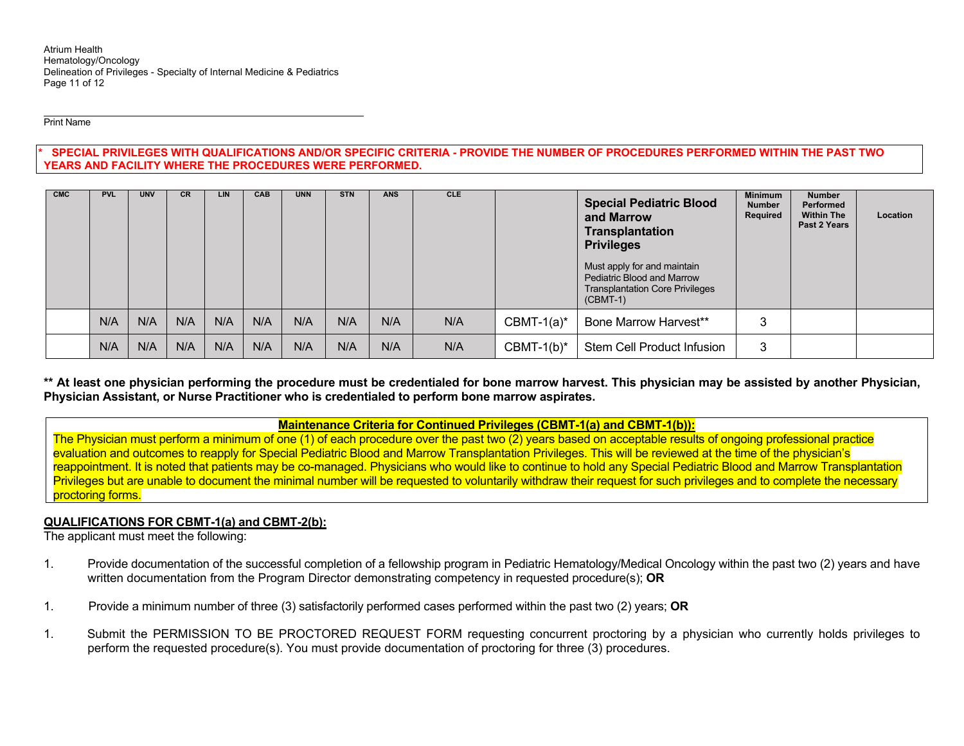Print Name

**\* SPECIAL PRIVILEGES WITH QUALIFICATIONS AND/OR SPECIFIC CRITERIA - PROVIDE THE NUMBER OF PROCEDURES PERFORMED WITHIN THE PAST TWO YEARS AND FACILITY WHERE THE PROCEDURES WERE PERFORMED.** 

| <b>CMC</b> | <b>PVL</b> | <b>UNV</b> | <b>CR</b> | LIN | <b>CAB</b> | <b>UNN</b> | <b>STN</b> | <b>ANS</b> | <b>CLE</b> |               | <b>Special Pediatric Blood</b><br>and Marrow<br><b>Transplantation</b><br><b>Privileges</b><br>Must apply for and maintain<br>Pediatric Blood and Marrow<br><b>Transplantation Core Privileges</b><br>$(CBMT-1)$ | <b>Minimum</b><br><b>Number</b><br>Required | <b>Number</b><br>Performed<br><b>Within The</b><br>Past 2 Years | Location |
|------------|------------|------------|-----------|-----|------------|------------|------------|------------|------------|---------------|------------------------------------------------------------------------------------------------------------------------------------------------------------------------------------------------------------------|---------------------------------------------|-----------------------------------------------------------------|----------|
|            | N/A        | N/A        | N/A       | N/A | N/A        | N/A        | N/A        | N/A        | N/A        | $CBMT-1(a)^*$ | <b>Bone Marrow Harvest**</b>                                                                                                                                                                                     | 3                                           |                                                                 |          |
|            | N/A        | N/A        | N/A       | N/A | N/A        | N/A        | N/A        | N/A        | N/A        | $CBMT-1(b)^*$ | Stem Cell Product Infusion                                                                                                                                                                                       | 3                                           |                                                                 |          |

**\*\* At least one physician performing the procedure must be credentialed for bone marrow harvest. This physician may be assisted by another Physician, Physician Assistant, or Nurse Practitioner who is credentialed to perform bone marrow aspirates.** 

**Maintenance Criteria for Continued Privileges (CBMT-1(a) and CBMT-1(b)):** 

The Physician must perform a minimum of one (1) of each procedure over the past two (2) years based on acceptable results of ongoing professional practice evaluation and outcomes to reapply for Special Pediatric Blood and Marrow Transplantation Privileges. This will be reviewed at the time of the physician's reappointment. It is noted that patients may be co-managed. Physicians who would like to continue to hold any Special Pediatric Blood and Marrow Transplantation Privileges but are unable to document the minimal number will be requested to voluntarily withdraw their request for such privileges and to complete the necessary proctoring forms.

## **QUALIFICATIONS FOR CBMT-1(a) and CBMT-2(b):**

The applicant must meet the following:

- 1. Provide documentation of the successful completion of a fellowship program in Pediatric Hematology/Medical Oncology within the past two (2) years and have written documentation from the Program Director demonstrating competency in requested procedure(s); **OR**
- 1. Provide a minimum number of three (3) satisfactorily performed cases performed within the past two (2) years; **OR**
- 1. Submit the PERMISSION TO BE PROCTORED REQUEST FORM requesting concurrent proctoring by a physician who currently holds privileges to perform the requested procedure(s). You must provide documentation of proctoring for three (3) procedures.